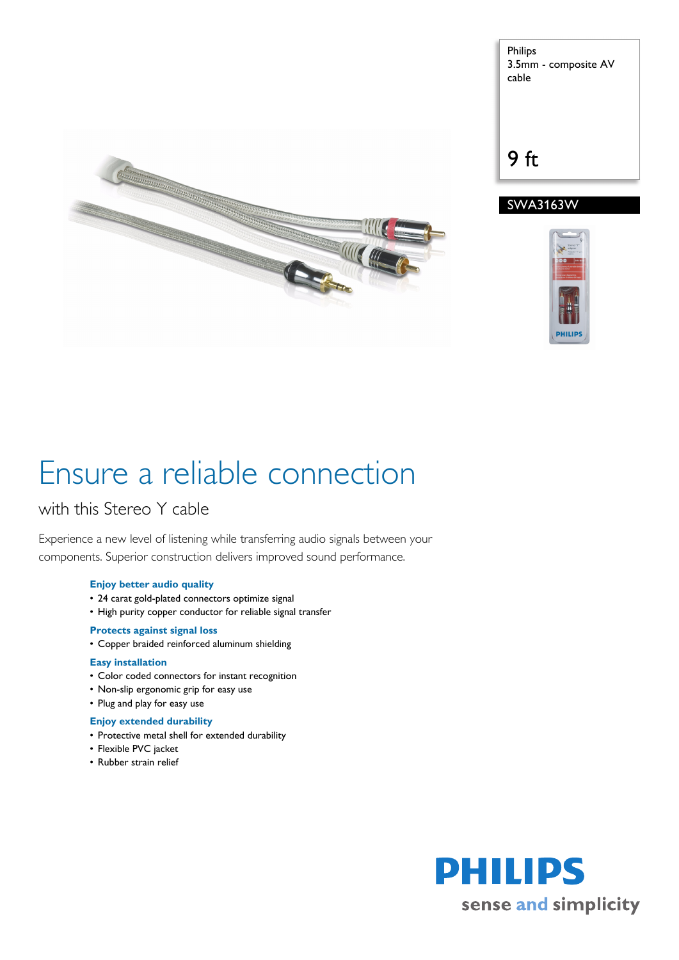

Philips 3.5mm - composite AV cable

9 ft

### SWA3163W



# Ensure a reliable connection

### with this Stereo Y cable

Experience a new level of listening while transferring audio signals between your components. Superior construction delivers improved sound performance.

### **Enjoy better audio quality**

- 24 carat gold-plated connectors optimize signal
- High purity copper conductor for reliable signal transfer

### **Protects against signal loss**

• Copper braided reinforced aluminum shielding

### **Easy installation**

- Color coded connectors for instant recognition
- Non-slip ergonomic grip for easy use
- Plug and play for easy use

### **Enjoy extended durability**

- Protective metal shell for extended durability
- Flexible PVC jacket
- Rubber strain relief